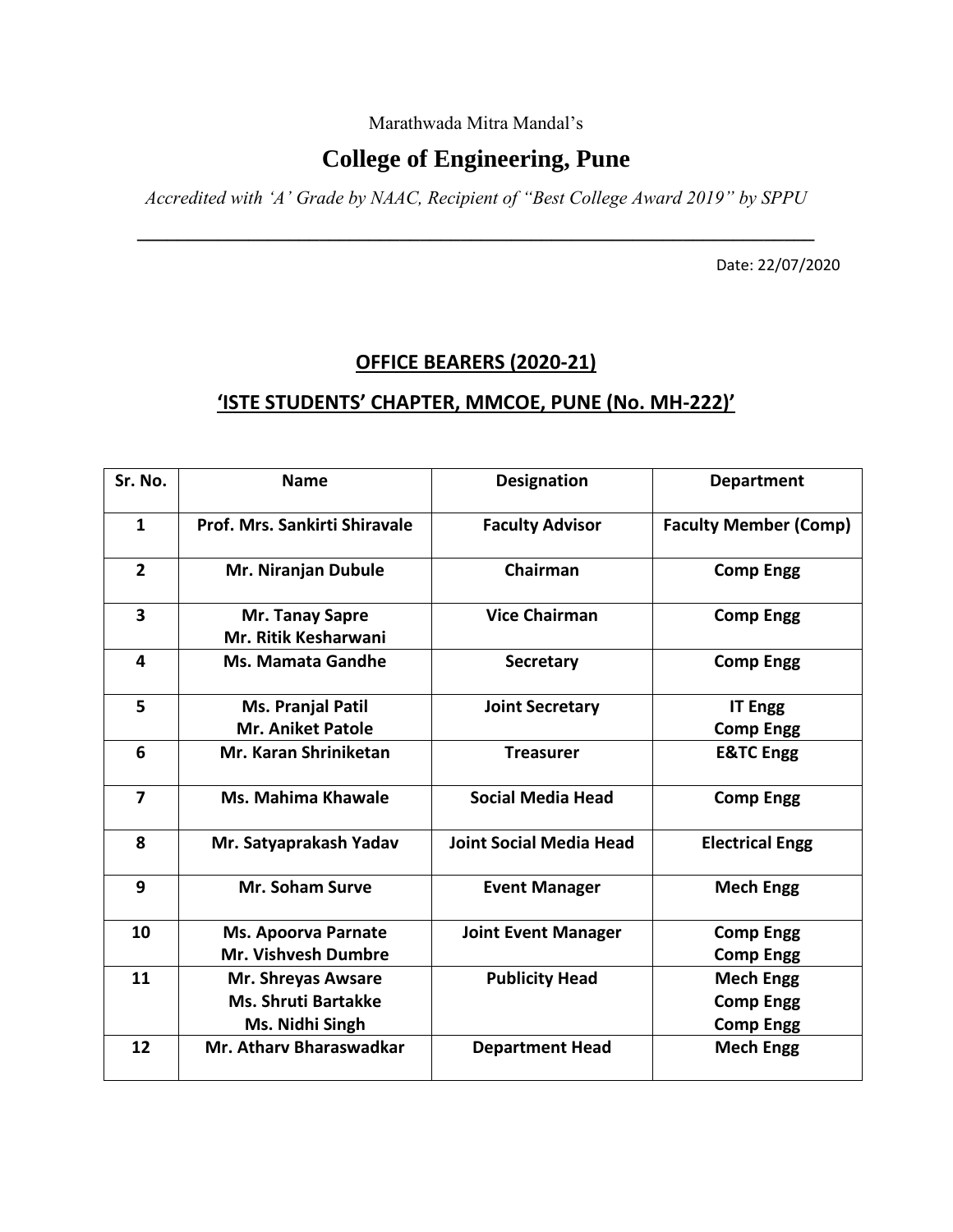Marathwada Mitra Mandal's

### **College of Engineering, Pune**

*Accredited with 'A' Grade by NAAC, Recipient of "Best College Award 2019" by SPPU* 

**\_\_\_\_\_\_\_\_\_\_\_\_\_\_\_\_\_\_\_\_\_\_\_\_\_\_\_\_\_\_\_\_\_\_\_\_\_\_\_\_\_\_\_\_\_\_\_\_\_\_\_\_\_\_\_\_\_\_\_\_\_\_\_\_\_\_\_**

Date: 22/07/2020

# **OFFICE BEARERS (2020-21)**

#### **'ISTE STUDENTS' CHAPTER, MMCOE, PUNE (No. MH-222)'**

| Sr. No.                 | <b>Name</b>                             | <b>Designation</b>             | <b>Department</b>            |
|-------------------------|-----------------------------------------|--------------------------------|------------------------------|
| $\mathbf{1}$            | Prof. Mrs. Sankirti Shiravale           | <b>Faculty Advisor</b>         | <b>Faculty Member (Comp)</b> |
| $\overline{2}$          | Mr. Niranjan Dubule                     | Chairman                       | <b>Comp Engg</b>             |
| $\overline{\mathbf{3}}$ | Mr. Tanay Sapre<br>Mr. Ritik Kesharwani | <b>Vice Chairman</b>           | <b>Comp Engg</b>             |
| 4                       | <b>Ms. Mamata Gandhe</b>                | <b>Secretary</b>               | <b>Comp Engg</b>             |
| 5                       | Ms. Pranjal Patil                       | <b>Joint Secretary</b>         | <b>IT Engg</b>               |
|                         | <b>Mr. Aniket Patole</b>                |                                | <b>Comp Engg</b>             |
| 6                       | Mr. Karan Shriniketan                   | <b>Treasurer</b>               | <b>E&amp;TC Engg</b>         |
| $\overline{\mathbf{z}}$ | Ms. Mahima Khawale                      | <b>Social Media Head</b>       | <b>Comp Engg</b>             |
| 8                       | Mr. Satyaprakash Yadav                  | <b>Joint Social Media Head</b> | <b>Electrical Engg</b>       |
| 9                       | Mr. Soham Surve                         | <b>Event Manager</b>           | <b>Mech Engg</b>             |
| 10                      | <b>Ms. Apoorva Parnate</b>              | <b>Joint Event Manager</b>     | <b>Comp Engg</b>             |
|                         | <b>Mr. Vishvesh Dumbre</b>              |                                | <b>Comp Engg</b>             |
| 11                      | Mr. Shreyas Awsare                      | <b>Publicity Head</b>          | <b>Mech Engg</b>             |
|                         | <b>Ms. Shruti Bartakke</b>              |                                | <b>Comp Engg</b>             |
|                         | Ms. Nidhi Singh                         |                                | <b>Comp Engg</b>             |
| 12                      | <b>Mr. Athary Bharaswadkar</b>          | <b>Department Head</b>         | <b>Mech Engg</b>             |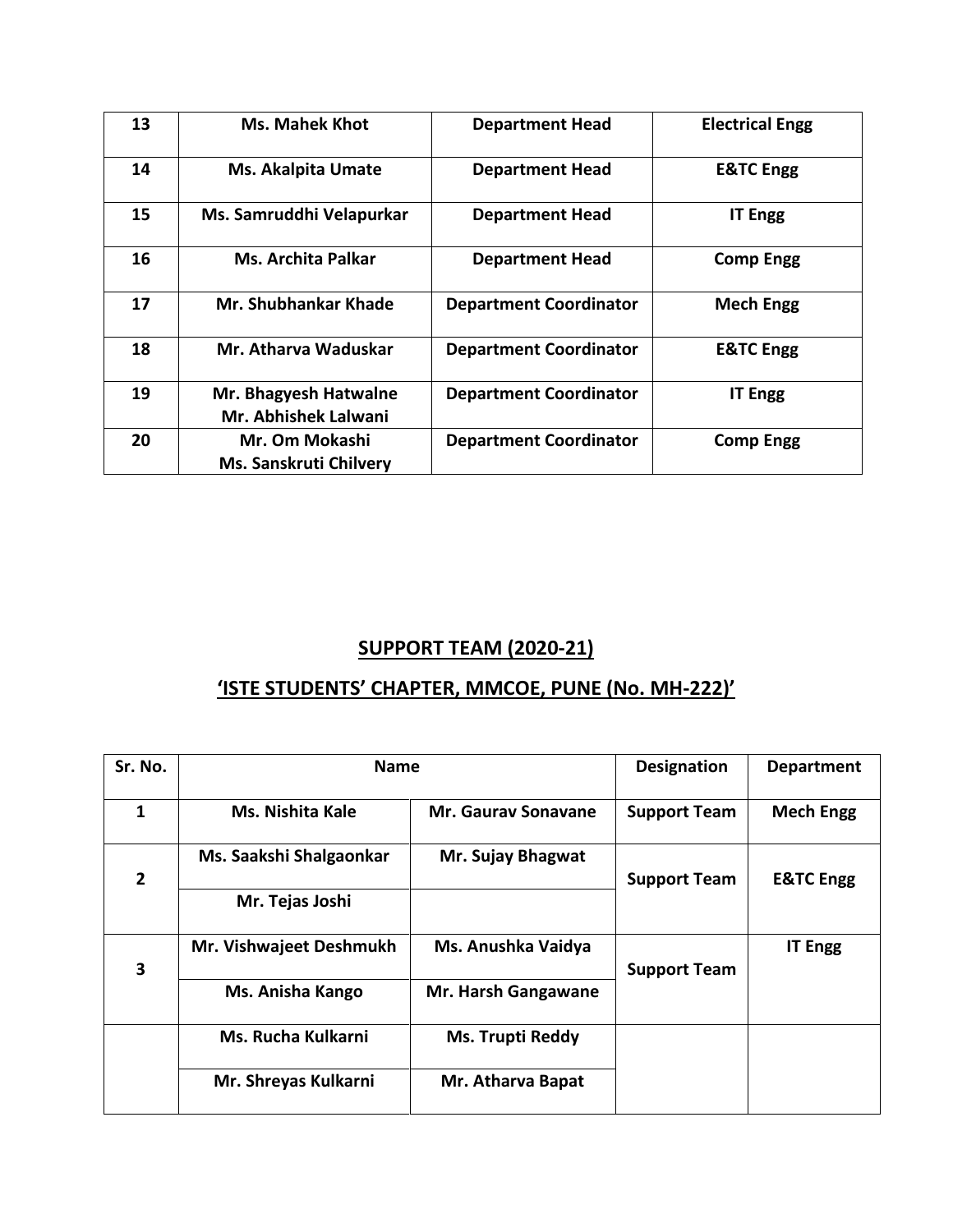| 13 | <b>Ms. Mahek Khot</b>                           | <b>Department Head</b>        | <b>Electrical Engg</b> |
|----|-------------------------------------------------|-------------------------------|------------------------|
| 14 | <b>Ms. Akalpita Umate</b>                       | <b>Department Head</b>        | <b>E&amp;TC Engg</b>   |
| 15 | Ms. Samruddhi Velapurkar                        | <b>Department Head</b>        | <b>IT Engg</b>         |
| 16 | <b>Ms. Archita Palkar</b>                       | <b>Department Head</b>        | <b>Comp Engg</b>       |
| 17 | <b>Mr. Shubhankar Khade</b>                     | <b>Department Coordinator</b> | <b>Mech Engg</b>       |
| 18 | Mr. Atharva Waduskar                            | <b>Department Coordinator</b> | <b>E&amp;TC Engg</b>   |
| 19 | Mr. Bhagyesh Hatwalne<br>Mr. Abhishek Lalwani   | <b>Department Coordinator</b> | <b>IT Engg</b>         |
| 20 | Mr. Om Mokashi<br><b>Ms. Sanskruti Chilvery</b> | <b>Department Coordinator</b> | <b>Comp Engg</b>       |

### **SUPPORT TEAM (2020-21)**

## **'ISTE STUDENTS' CHAPTER, MMCOE, PUNE (No. MH-222)'**

| Sr. No.        | <b>Name</b>             |                         | <b>Designation</b>  | <b>Department</b>    |
|----------------|-------------------------|-------------------------|---------------------|----------------------|
| 1              | Ms. Nishita Kale        | Mr. Gauray Sonavane     | <b>Support Team</b> | <b>Mech Engg</b>     |
| $\overline{2}$ | Ms. Saakshi Shalgaonkar | Mr. Sujay Bhagwat       | <b>Support Team</b> | <b>E&amp;TC Engg</b> |
|                | Mr. Tejas Joshi         |                         |                     |                      |
| 3              | Mr. Vishwajeet Deshmukh | Ms. Anushka Vaidya      | <b>Support Team</b> | <b>IT Engg</b>       |
|                | Ms. Anisha Kango        | Mr. Harsh Gangawane     |                     |                      |
|                | Ms. Rucha Kulkarni      | <b>Ms. Trupti Reddy</b> |                     |                      |
|                | Mr. Shreyas Kulkarni    | Mr. Atharva Bapat       |                     |                      |